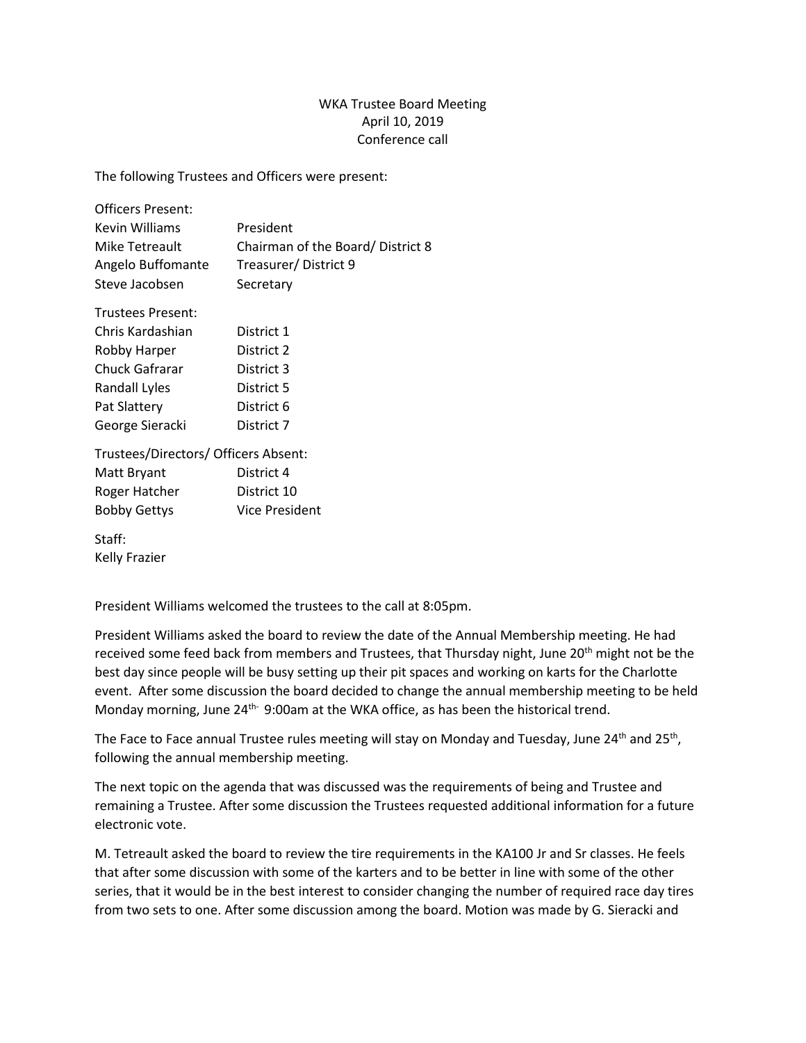## WKA Trustee Board Meeting April 10, 2019 Conference call

The following Trustees and Officers were present:

| <b>Officers Present:</b> |                                  |
|--------------------------|----------------------------------|
| Kevin Williams           | President                        |
| Mike Tetreault           | Chairman of the Board/District 8 |
| Angelo Buffomante        | Treasurer/District 9             |
| Steve Jacobsen           | Secretary                        |
|                          |                                  |

| <b>Trustees Present:</b> |            |
|--------------------------|------------|
| Chris Kardashian         | District 1 |
| Robby Harper             | District 2 |
| Chuck Gafrarar           | District 3 |
| Randall Lyles            | District 5 |
| Pat Slattery             | District 6 |
| George Sieracki          | District 7 |

Trustees/Directors/ Officers Absent:

| Matt Bryant         | District 4            |
|---------------------|-----------------------|
| Roger Hatcher       | District 10           |
| <b>Bobby Gettys</b> | <b>Vice President</b> |

Staff: Kelly Frazier

President Williams welcomed the trustees to the call at 8:05pm.

President Williams asked the board to review the date of the Annual Membership meeting. He had received some feed back from members and Trustees, that Thursday night, June 20<sup>th</sup> might not be the best day since people will be busy setting up their pit spaces and working on karts for the Charlotte event. After some discussion the board decided to change the annual membership meeting to be held Monday morning, June 24<sup>th-</sup> 9:00am at the WKA office, as has been the historical trend.

The Face to Face annual Trustee rules meeting will stay on Monday and Tuesday, June 24<sup>th</sup> and 25<sup>th</sup>, following the annual membership meeting.

The next topic on the agenda that was discussed was the requirements of being and Trustee and remaining a Trustee. After some discussion the Trustees requested additional information for a future electronic vote.

M. Tetreault asked the board to review the tire requirements in the KA100 Jr and Sr classes. He feels that after some discussion with some of the karters and to be better in line with some of the other series, that it would be in the best interest to consider changing the number of required race day tires from two sets to one. After some discussion among the board. Motion was made by G. Sieracki and